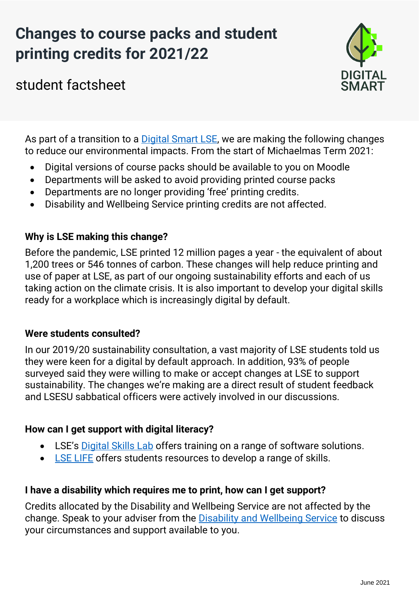# **Changes to course packs and student printing credits for 2021/22**



student factsheet

As part of a transition to a [Digital Smart LSE,](https://info.lse.ac.uk/staff/divisions/estates-division/sustainable-lse/get-involved/digital-smart) we are making the following changes to reduce our environmental impacts. From the start of Michaelmas Term 2021:

- Digital versions of course packs should be available to you on Moodle
- Departments will be asked to avoid providing printed course packs
- Departments are no longer providing 'free' printing credits.
- Disability and Wellbeing Service printing credits are not affected.

## **Why is LSE making this change?**

Before the pandemic, LSE printed 12 million pages a year - the equivalent of about 1,200 trees or 546 tonnes of carbon. These changes will help reduce printing and use of paper at LSE, as part of our ongoing sustainability efforts and each of us taking action on the climate crisis. It is also important to develop your digital skills ready for a workplace which is increasingly digital by default.

### **Were students consulted?**

In our 2019/20 sustainability consultation, a vast majority of LSE students told us they were keen for a digital by default approach. In addition, 93% of people surveyed said they were willing to make or accept changes at LSE to support sustainability. The changes we're making are a direct result of student feedback and LSESU sabbatical officers were actively involved in our discussions.

### **How can I get support with digital literacy?**

- LSE's [Digital Skills Lab](https://info.lse.ac.uk/current-students/digital-skills-lab) offers training on a range of software solutions.
- [LSE LIFE](https://info.lse.ac.uk/current-students/lse-life) offers students resources to develop a range of skills.

# **I have a disability which requires me to print, how can I get support?**

Credits allocated by the Disability and Wellbeing Service are not affected by the change. Speak to your adviser from the [Disability and Wellbeing Service](https://info.lse.ac.uk/current-students/student-wellbeing/disability-wellbeing/about-disability-and-wellbeing-service?from_serp=1) to discuss your circumstances and support available to you.